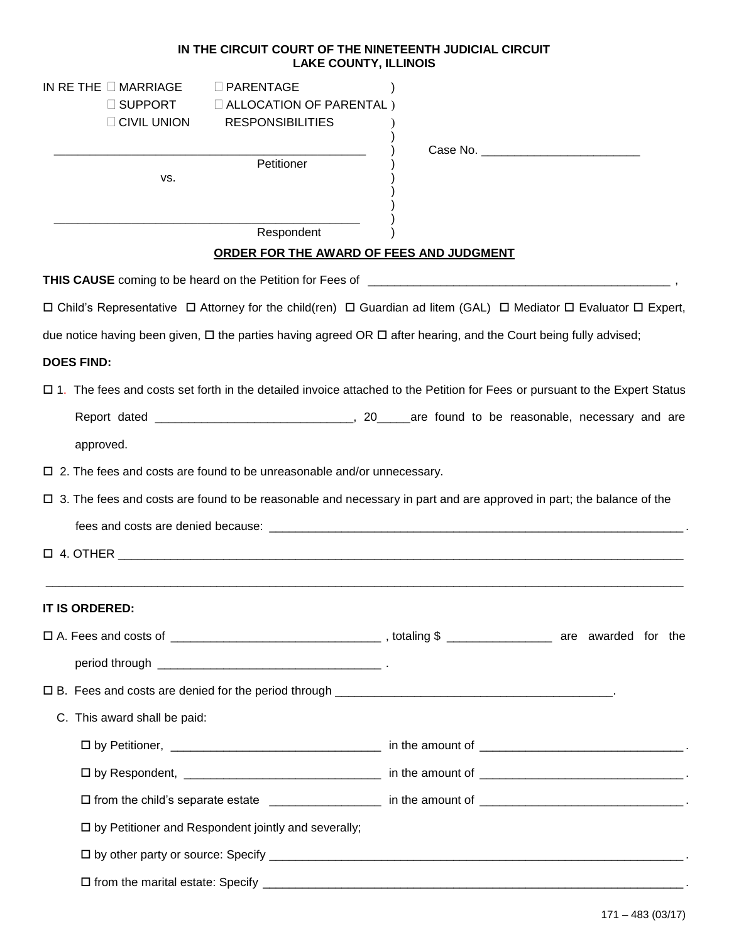## **IN THE CIRCUIT COURT OF THE NINETEENTH JUDICIAL CIRCUIT LAKE COUNTY, ILLINOIS**

| IN RETHE $\square$ MARRIAGE<br>$\square$ PARENTAGE<br>□ SUPPORT<br><b>ID ALLOCATION OF PARENTAL</b> )<br>$\Box$ CIVIL UNION<br><b>RESPONSIBILITIES</b> |                                                                                                                                                                                                                               |
|--------------------------------------------------------------------------------------------------------------------------------------------------------|-------------------------------------------------------------------------------------------------------------------------------------------------------------------------------------------------------------------------------|
| Petitioner                                                                                                                                             | Case No. The case of the case of the case of the case of the case of the case of the case of the case of the case of the case of the case of the case of the case of the case of the case of the case of the case of the case |
| VS.                                                                                                                                                    |                                                                                                                                                                                                                               |
| Respondent                                                                                                                                             |                                                                                                                                                                                                                               |
| ORDER FOR THE AWARD OF FEES AND JUDGMENT                                                                                                               |                                                                                                                                                                                                                               |
|                                                                                                                                                        |                                                                                                                                                                                                                               |
| □ Child's Representative □ Attorney for the child(ren) □ Guardian ad litem (GAL) □ Mediator □ Evaluator □ Expert,                                      |                                                                                                                                                                                                                               |
| due notice having been given, □ the parties having agreed OR □ after hearing, and the Court being fully advised;                                       |                                                                                                                                                                                                                               |
| <b>DOES FIND:</b>                                                                                                                                      |                                                                                                                                                                                                                               |
| □ 1. The fees and costs set forth in the detailed invoice attached to the Petition for Fees or pursuant to the Expert Status                           |                                                                                                                                                                                                                               |
|                                                                                                                                                        |                                                                                                                                                                                                                               |
| approved.                                                                                                                                              |                                                                                                                                                                                                                               |
| $\Box$ 2. The fees and costs are found to be unreasonable and/or unnecessary.                                                                          |                                                                                                                                                                                                                               |
| $\Box$ 3. The fees and costs are found to be reasonable and necessary in part and are approved in part; the balance of the                             |                                                                                                                                                                                                                               |
| fees and costs are denied because: experience and costs are denied because:                                                                            |                                                                                                                                                                                                                               |
| $\Box$ 4. OTHER $\Box$                                                                                                                                 |                                                                                                                                                                                                                               |
| <b>IT IS ORDERED:</b>                                                                                                                                  |                                                                                                                                                                                                                               |
|                                                                                                                                                        |                                                                                                                                                                                                                               |
|                                                                                                                                                        |                                                                                                                                                                                                                               |
|                                                                                                                                                        |                                                                                                                                                                                                                               |
| C. This award shall be paid:                                                                                                                           |                                                                                                                                                                                                                               |
|                                                                                                                                                        |                                                                                                                                                                                                                               |
|                                                                                                                                                        |                                                                                                                                                                                                                               |
|                                                                                                                                                        |                                                                                                                                                                                                                               |
| □ by Petitioner and Respondent jointly and severally;                                                                                                  |                                                                                                                                                                                                                               |
|                                                                                                                                                        |                                                                                                                                                                                                                               |
|                                                                                                                                                        |                                                                                                                                                                                                                               |